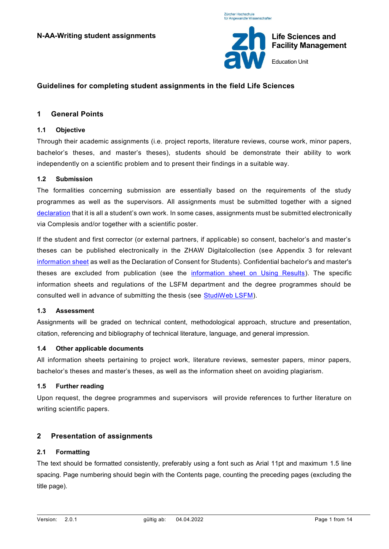Züreber Hochechule für Angewandte Wissenschafter



# **Guidelines for completing student assignments in the field Life Sciences**

## **1 General Points**

### **1.1 Objective**

Through their academic assignments (i.e. project reports, literature reviews, course work, minor papers, bachelor's theses, and master's theses), students should be demonstrate their ability to work independently on a scientific problem and to present their findings in a suitable way.

#### **1.2 Submission**

The formalities concerning submission are essentially based on the requirements of the study programmes as well as the supervisors. All assignments must be submitted together with a signed [declaration](https://view.officeapps.live.com/op/view.aspx?src=https%3A%2F%2Fwww.zhaw.ch%2Fstorage%2Flsfm%2Fstudium%2F_formulare-merkblaetter%2Fselbstaendigkeitserklaerung-studentische-arbeiten.docx&wdOrigin=BROWSELINK) that it is all a student's own work. In some cases, assignments must be submitted electronically via Complesis and/or together with a scientific poster.

If the student and first corrector (or external partners, if applicable) so consent, bachelor's and master's theses can be published electronically in the ZHAW Digitalcollection (see Appendix 3 for relevant [information sheet](https://gpmpublic.zhaw.ch/GPMDocProdDPublic/2_Studium/2_05_Lehre_Studium/N_MB_Publikation_BA_MA_ZHAW_Digitalcollection.pdf) as well as the Declaration of Consent for Students). Confidential bachelor's and master's theses are excluded from publication (see the [information sheet on Using Results\)](https://gpmpublic.zhaw.ch/GPMDocProdDPublic/2_Studium/2_05_Lehre_Studium/N_MB_Merkblatt_zur_Verwendung_der_Resultate.pdf). The specific information sheets and regulations of the LSFM department and the degree programmes should be consulted well in advance of submitting the thesis (see [StudiWeb LSFM\)](https://www.zhaw.ch/de/lsfm/studium/studiweb/bachelor/pruefungen-und-studentische-arbeiten/).

### **1.3 Assessment**

Assignments will be graded on technical content, methodological approach, structure and presentation, citation, referencing and bibliography of technical literature, language, and general impression.

### **1.4 Other applicable documents**

All information sheets pertaining to project work, literature reviews, semester papers, minor papers, bachelor's theses and master's theses, as well as the information sheet on avoiding plagiarism.

### **1.5 Further reading**

Upon request, the degree programmes and supervisors will provide references to further literature on writing scientific papers.

### **2 Presentation of assignments**

### **2.1 Formatting**

The text should be formatted consistently, preferably using a font such as Arial 11pt and maximum 1.5 line spacing. Page numbering should begin with the Contents page, counting the preceding pages (excluding the title page).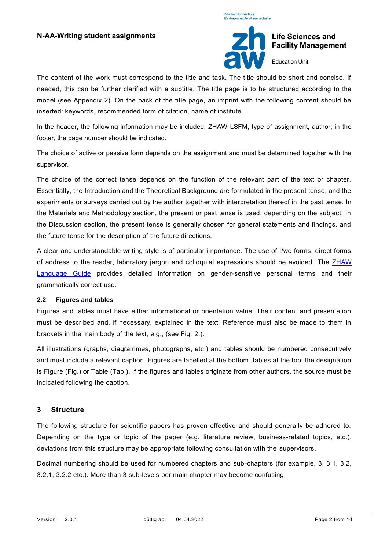



# **Life Sciences and Facility Management**

Education Unit

The content of the work must correspond to the title and task. The title should be short and concise. If needed, this can be further clarified with a subtitle. The title page is to be structured according to the model (see Appendix 2). On the back of the title page, an imprint with the following content should be inserted: keywords, recommended form of citation, name of institute.

In the header, the following information may be included: ZHAW LSFM, type of assignment, author; in the footer, the page number should be indicated.

The choice of active or passive form depends on the assignment and must be determined together with the supervisor.

The choice of the correct tense depends on the function of the relevant part of the text or chapter. Essentially, the Introduction and the Theoretical Background are formulated in the present tense, and the experiments or surveys carried out by the author together with interpretation thereof in the past tense. In the Materials and Methodology section, the present or past tense is used, depending on the subject. In the Discussion section, the present tense is generally chosen for general statements and findings, and the future tense for the description of the future directions.

A clear and understandable writing style is of particular importance. The use of I/we forms, direct forms of address to the reader, laboratory jargon and colloquial expressions should be avoided. The ZHAW [Language Guide](https://www.zhaw.ch/storage/linguistik/forschung/barrierefreie-kommunikation/about/sprachleitfaden-gender-zhaw-neu.pdf) provides detailed information on gender-sensitive personal terms and their grammatically correct use.

### **2.2 Figures and tables**

Figures and tables must have either informational or orientation value. Their content and presentation must be described and, if necessary, explained in the text. Reference must also be made to them in brackets in the main body of the text, e.g., (see Fig. 2.).

All illustrations (graphs, diagrammes, photographs, etc.) and tables should be numbered consecutively and must include a relevant caption. Figures are labelled at the bottom, tables at the top; the designation is Figure (Fig.) or Table (Tab.). If the figures and tables originate from other authors, the source must be indicated following the caption.

# **3 Structure**

The following structure for scientific papers has proven effective and should generally be adhered to. Depending on the type or topic of the paper (e.g. literature review, business-related topics, etc.), deviations from this structure may be appropriate following consultation with the supervisors.

Decimal numbering should be used for numbered chapters and sub-chapters (for example, 3, 3.1, 3.2, 3.2.1, 3.2.2 etc.). More than 3 sub-levels per main chapter may become confusing.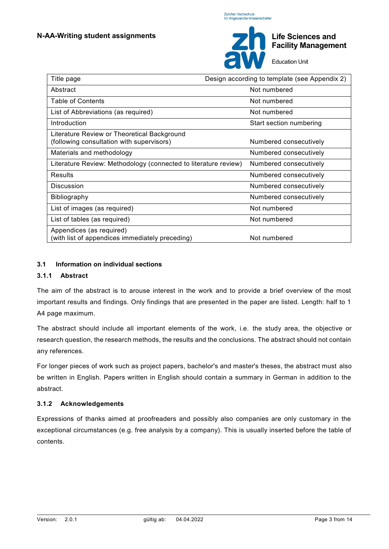

Education Unit

| Title page                                                                               | Design according to template (see Appendix 2) |  |  |
|------------------------------------------------------------------------------------------|-----------------------------------------------|--|--|
| Abstract                                                                                 | Not numbered                                  |  |  |
| <b>Table of Contents</b>                                                                 | Not numbered                                  |  |  |
| List of Abbreviations (as required)                                                      | Not numbered                                  |  |  |
| Introduction                                                                             | Start section numbering                       |  |  |
| Literature Review or Theoretical Background<br>(following consultation with supervisors) | Numbered consecutively                        |  |  |
| Materials and methodology                                                                | Numbered consecutively                        |  |  |
| Literature Review: Methodology (connected to literature review)                          | Numbered consecutively                        |  |  |
| Results                                                                                  | Numbered consecutively                        |  |  |
| <b>Discussion</b>                                                                        | Numbered consecutively                        |  |  |
| <b>Bibliography</b>                                                                      | Numbered consecutively                        |  |  |
| List of images (as required)                                                             | Not numbered                                  |  |  |
| List of tables (as required)                                                             | Not numbered                                  |  |  |
| Appendices (as required)<br>(with list of appendices immediately preceding)              | Not numbered                                  |  |  |

# **3.1 Information on individual sections**

### **3.1.1 Abstract**

The aim of the abstract is to arouse interest in the work and to provide a brief overview of the most important results and findings. Only findings that are presented in the paper are listed. Length: half to 1 A4 page maximum.

The abstract should include all important elements of the work, i.e. the study area, the objective or research question, the research methods, the results and the conclusions. The abstract should not contain any references.

For longer pieces of work such as project papers, bachelor's and master's theses, the abstract must also be written in English. Papers written in English should contain a summary in German in addition to the abstract.

### **3.1.2 Acknowledgements**

Expressions of thanks aimed at proofreaders and possibly also companies are only customary in the exceptional circumstances (e.g. free analysis by a company). This is usually inserted before the table of contents.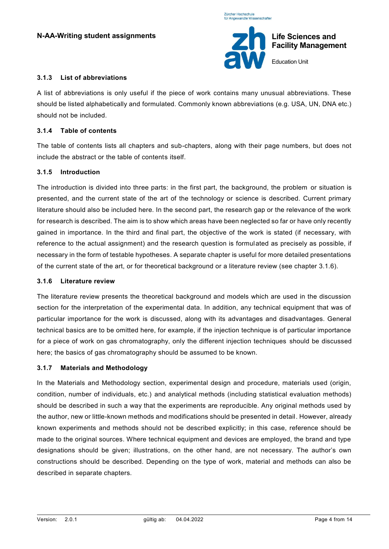

Education Unit

### **3.1.3 List of abbreviations**

A list of abbreviations is only useful if the piece of work contains many unusual abbreviations. These should be listed alphabetically and formulated. Commonly known abbreviations (e.g. USA, UN, DNA etc.) should not be included.

## **3.1.4 Table of contents**

The table of contents lists all chapters and sub-chapters, along with their page numbers, but does not include the abstract or the table of contents itself.

### **3.1.5 Introduction**

The introduction is divided into three parts: in the first part, the background, the problem or situation is presented, and the current state of the art of the technology or science is described. Current primary literature should also be included here. In the second part, the research gap or the relevance of the work for research is described. The aim is to show which areas have been neglected so far or have only recently gained in importance. In the third and final part, the objective of the work is stated (if necessary, with reference to the actual assignment) and the research question is formulated as precisely as possible, if necessary in the form of testable hypotheses. A separate chapter is useful for more detailed presentations of the current state of the art, or for theoretical background or a literature review (see chapter 3.1.6).

### **3.1.6 Literature review**

The literature review presents the theoretical background and models which are used in the discussion section for the interpretation of the experimental data. In addition, any technical equipment that was of particular importance for the work is discussed, along with its advantages and disadvantages. General technical basics are to be omitted here, for example, if the injection technique is of particular importance for a piece of work on gas chromatography, only the different injection techniques should be discussed here; the basics of gas chromatography should be assumed to be known.

### **3.1.7 Materials and Methodology**

In the Materials and Methodology section, experimental design and procedure, materials used (origin, condition, number of individuals, etc.) and analytical methods (including statistical evaluation methods) should be described in such a way that the experiments are reproducible. Any original methods used by the author, new or little-known methods and modifications should be presented in detail. However, already known experiments and methods should not be described explicitly; in this case, reference should be made to the original sources. Where technical equipment and devices are employed, the brand and type designations should be given; illustrations, on the other hand, are not necessary. The author's own constructions should be described. Depending on the type of work, material and methods can also be described in separate chapters.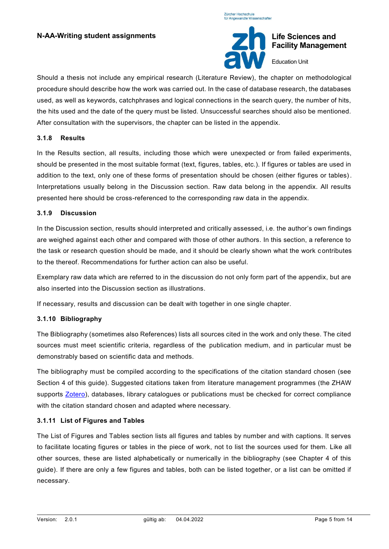

Education Unit

Should a thesis not include any empirical research (Literature Review), the chapter on methodological procedure should describe how the work was carried out. In the case of database research, the databases used, as well as keywords, catchphrases and logical connections in the search query, the number of hits, the hits used and the date of the query must be listed. Unsuccessful searches should also be mentioned. After consultation with the supervisors, the chapter can be listed in the appendix.

### **3.1.8 Results**

In the Results section, all results, including those which were unexpected or from failed experiments, should be presented in the most suitable format (text, figures, tables, etc.). If figures or tables are used in addition to the text, only one of these forms of presentation should be chosen (either figures or tables). Interpretations usually belong in the Discussion section. Raw data belong in the appendix. All results presented here should be cross-referenced to the corresponding raw data in the appendix.

### **3.1.9 Discussion**

In the Discussion section, results should interpreted and critically assessed, i.e. the author's own findings are weighed against each other and compared with those of other authors. In this section, a reference to the task or research question should be made, and it should be clearly shown what the work c ontributes to the thereof. Recommendations for further action can also be useful.

Exemplary raw data which are referred to in the discussion do not only form part of the appendix, but are also inserted into the Discussion section as illustrations.

If necessary, results and discussion can be dealt with together in one single chapter.

# **3.1.10 Bibliography**

The Bibliography (sometimes also References) lists all sources cited in the work and only these. The cited sources must meet scientific criteria, regardless of the publication medium, and in particular must be demonstrably based on scientific data and methods.

The bibliography must be compiled according to the specifications of the citation standard chosen (see Section 4 of this guide). Suggested citations taken from literature management programmes (the ZHAW supports **Zotero**), databases, library catalogues or publications must be checked for correct compliance with the citation standard chosen and adapted where necessary.

### **3.1.11 List of Figures and Tables**

The List of Figures and Tables section lists all figures and tables by number and with captions. It serves to facilitate locating figures or tables in the piece of work, not to list the sources used for them. Like all other sources, these are listed alphabetically or numerically in the bibliography (see Chapter 4 of this guide). If there are only a few figures and tables, both can be listed together, or a list can be omitted if necessary.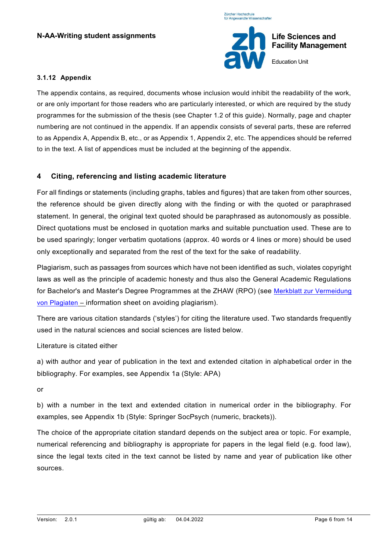

Education Unit

### **3.1.12 Appendix**

The appendix contains, as required, documents whose inclusion would inhibit the readability of the work, or are only important for those readers who are particularly interested, or which are required by the study programmes for the submission of the thesis (see Chapter 1.2 of this guide). Normally, page and chapter numbering are not continued in the appendix. If an appendix consists of several parts, these are referred to as Appendix A, Appendix B, etc., or as Appendix 1, Appendix 2, etc. The appendices should be referred to in the text. A list of appendices must be included at the beginning of the appendix.

# **4 Citing, referencing and listing academic literature**

For all findings or statements (including graphs, tables and figures) that are taken from other sources, the reference should be given directly along with the finding or with the quoted or paraphrased statement. In general, the original text quoted should be paraphrased as autonomously as possible. Direct quotations must be enclosed in quotation marks and suitable punctuation used. These are to be used sparingly; longer verbatim quotations (approx. 40 words or 4 lines or more) should be used only exceptionally and separated from the rest of the text for the sake of readability.

Plagiarism, such as passages from sources which have not been identified as such, violates copyright laws as well as the principle of academic honesty and thus also the General Academic Regulations for Bachelor's and Master's Degree Programmes at the ZHAW (RPO) (see [Merkblatt zur Vermeidung](https://gpmpublic.zhaw.ch/GPMDocProdZPublic/2_Studium/2_05_Lehre_Studium/Z_MB_Vermeidung_Plagiaten.pdf)  [von Plagiaten](https://gpmpublic.zhaw.ch/GPMDocProdZPublic/2_Studium/2_05_Lehre_Studium/Z_MB_Vermeidung_Plagiaten.pdf) – information sheet on avoiding plagiarism).

There are various citation standards ('styles') for citing the literature used. Two standards frequently used in the natural sciences and social sciences are listed below.

# Literature is citated either

a) with author and year of publication in the text and extended citation in alphabetical order in the bibliography. For examples, see Appendix 1a (Style: APA)

or

b) with a number in the text and extended citation in numerical order in the bibliography. For examples, see Appendix 1b (Style: Springer SocPsych (numeric, brackets)).

The choice of the appropriate citation standard depends on the subject area or topic. For example, numerical referencing and bibliography is appropriate for papers in the legal field (e.g. food law), since the legal texts cited in the text cannot be listed by name and year of publication like other sources.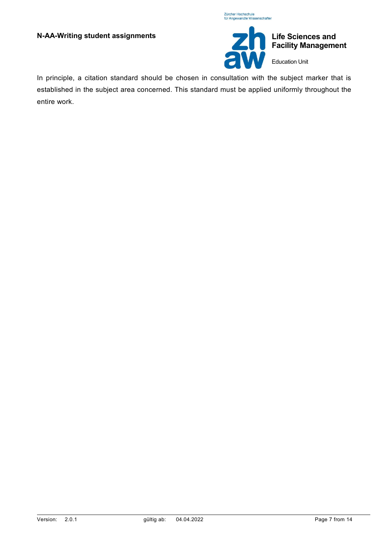



**Life Sciences and Facility Management** Education Unit

In principle, a citation standard should be chosen in consultation with the subject marker that is established in the subject area concerned. This standard must be applied uniformly throughout the entire work.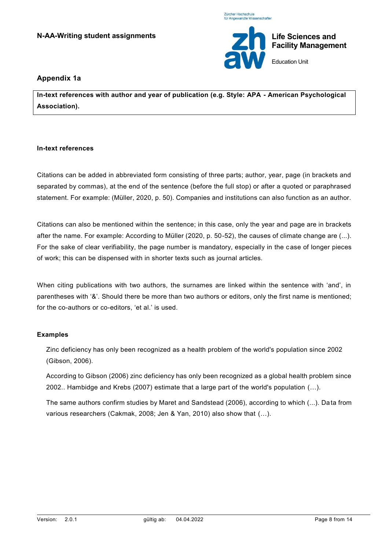



**Life Sciences and Facility Management**

Education Unit

# **Appendix 1a**

**In-text references with author and year of publication (e.g. Style: APA - American Psychological Association).**

### **In-text references**

Citations can be added in abbreviated form consisting of three parts; author, year, page (in brackets and separated by commas), at the end of the sentence (before the full stop) or after a quoted or paraphrased statement. For example: (Müller, 2020, p. 50). Companies and institutions can also function as an author.

Citations can also be mentioned within the sentence; in this case, only the year and page are in brackets after the name. For example: According to Müller (2020, p. 50-52), the causes of climate change are (...). For the sake of clear verifiability, the page number is mandatory, especially in the c ase of longer pieces of work; this can be dispensed with in shorter texts such as journal articles.

When citing publications with two authors, the surnames are linked within the sentence with 'and', in parentheses with '&'. Should there be more than two authors or editors, only the first name is mentioned; for the co-authors or co-editors, 'et al.' is used.

# **Examples**

Zinc deficiency has only been recognized as a health problem of the world's population since 2002 (Gibson, 2006).

According to Gibson (2006) zinc deficiency has only been recognized as a global health problem since 2002.. Hambidge and Krebs (2007) estimate that a large part of the world's population (…).

The same authors confirm studies by Maret and Sandstead (2006), according to which (...). Da ta from various researchers (Cakmak, 2008; Jen & Yan, 2010) also show that (…).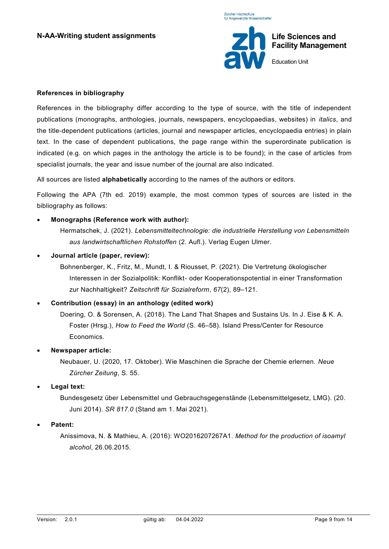

### **References in bibliography**

References in the bibliography differ according to the type of source, with the title of independent publications (monographs, anthologies, journals, newspapers, encyclopaedias, websites) in *italics*, and the title-dependent publications (articles, journal and newspaper articles, encyclopaedia entries) in plain text. In the case of dependent publications, the page range within the superordinate publication is indicated (e.g. on which pages in the anthology the article is to be found); in the case of articles from specialist journals, the year and issue number of the journal are also indicated.

All sources are listed **alphabetically** according to the names of the authors or editors.

Following the APA (7th ed. 2019) example, the most common types of sources are listed in the bibliography as follows:

• **Monographs (Reference work with author):**

Hermatschek, J. (2021). *Lebensmitteltechnologie: die industrielle Herstellung von Lebensmitteln aus landwirtschaftlichen Rohstoffen* (2. Aufl.). Verlag Eugen Ulmer.

• **Journal article (paper, review):**

Bohnenberger, K., Fritz, M., Mundt, I. & Riousset, P. (2021). Die Vertretung ökologischer Interessen in der Sozialpolitik: Konflikt- oder Kooperationspotential in einer Transformation zur Nachhaltigkeit? *Zeitschrift für Sozialreform*, *67*(2), 89–121.

# • **Contribution (essay) in an anthology (edited work)**

Doering, O. & Sorensen, A. (2018). The Land That Shapes and Sustains Us. In J. Eise & K. A. Foster (Hrsg.), *How to Feed the World* (S. 46–58). Island Press/Center for Resource Economics.

• **Newspaper article:**

Neubauer, U. (2020, 17. Oktober). Wie Maschinen die Sprache der Chemie erlernen. *Neue Zürcher Zeitung*, S. 55.

• **Legal text:**

Bundesgesetz über Lebensmittel und Gebrauchsgegenstände (Lebensmittelgesetz, LMG). (20. Juni 2014). *SR 817.0* (Stand am 1. Mai 2021).

• **Patent:**

Anissimova, N. & Mathieu, A. (2016): WO2016207267A1. *Method for the production of isoamyl alcohol*, 26.06.2015.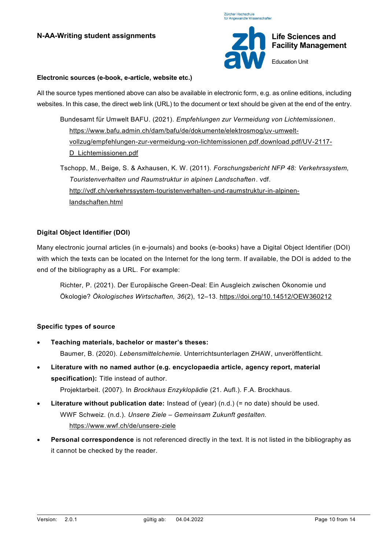

#### **Electronic sources (e-book, e-article, website etc.)**

All the source types mentioned above can also be available in electronic form, e.g. as online editions, including websites. In this case, the direct web link (URL) to the document or text should be given at the end of the entry.

- Bundesamt für Umwelt BAFU. (2021). *Empfehlungen zur Vermeidung von Lichtemissionen*. [https://www.bafu.admin.ch/dam/bafu/de/dokumente/elektrosmog/uv-umwelt](https://www.bafu.admin.ch/dam/bafu/de/dokumente/elektrosmog/uv-umwelt-vollzug/empfehlungen-zur-vermeidung-von-lichtemissionen.pdf.download.pdf/UV-2117-D_Lichtemissionen.pdf)[vollzug/empfehlungen-zur-vermeidung-von-lichtemissionen.pdf.download.pdf/UV-2117-](https://www.bafu.admin.ch/dam/bafu/de/dokumente/elektrosmog/uv-umwelt-vollzug/empfehlungen-zur-vermeidung-von-lichtemissionen.pdf.download.pdf/UV-2117-D_Lichtemissionen.pdf) [D\\_Lichtemissionen.pdf](https://www.bafu.admin.ch/dam/bafu/de/dokumente/elektrosmog/uv-umwelt-vollzug/empfehlungen-zur-vermeidung-von-lichtemissionen.pdf.download.pdf/UV-2117-D_Lichtemissionen.pdf)
- Tschopp, M., Beige, S. & Axhausen, K. W. (2011). *Forschungsbericht NFP 48: Verkehrssystem, Touristenverhalten und Raumstruktur in alpinen Landschaften*. vdf. [http://vdf.ch/verkehrssystem-touristenverhalten-und-raumstruktur-in-alpinen](http://vdf.ch/verkehrssystem-touristenverhalten-und-raumstruktur-in-alpinen-landschaften.html)[landschaften.html](http://vdf.ch/verkehrssystem-touristenverhalten-und-raumstruktur-in-alpinen-landschaften.html)

# **Digital Object Identifier (DOI)**

Many electronic journal articles (in e-journals) and books (e-books) have a Digital Object Identifier (DOI) with which the texts can be located on the Internet for the long term. If available, the DOI is added to the end of the bibliography as a URL. For example:

Richter, P. (2021). Der Europäische Green-Deal: Ein Ausgleich zwischen Ökonomie und Ökologie? *Ökologisches Wirtschaften, 36*(2), 12–13.<https://doi.org/10.14512/OEW360212>

### **Specific types of source**

- **Teaching materials, bachelor or master's theses:** Baumer, B. (2020). *Lebensmittelchemie.* Unterrichtsunterlagen ZHAW, unveröffentlicht.
- **Literature with no named author (e.g. encyclopaedia article, agency report, material specification):** Title instead of author.
	- Projektarbeit. (2007). In *Brockhaus Enzyklopädie* (21. Aufl.). F.A. Brockhaus.
- **Literature without publication date:** Instead of (year) (n.d.) (= no date) should be used. WWF Schweiz. (n.d.). *Unsere Ziele – Gemeinsam Zukunft gestalten.*  <https://www.wwf.ch/de/unsere-ziele>
- **Personal correspondence** is not referenced directly in the text. It is not listed in the bibliography as it cannot be checked by the reader.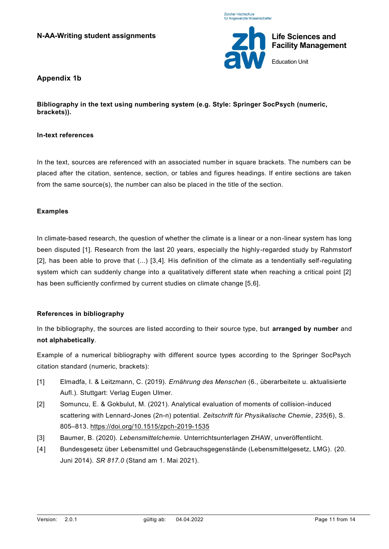



# **Appendix 1b**

**Bibliography in the text using numbering system (e.g. Style: Springer SocPsych (numeric, brackets)).**

#### **In-text references**

In the text, sources are referenced with an associated number in square brackets. The numbers can be placed after the citation, sentence, section, or tables and figures headings. If entire sections are taken from the same source(s), the number can also be placed in the title of the section.

### **Examples**

In climate-based research, the question of whether the climate is a linear or a non-linear system has long been disputed [1]. Research from the last 20 years, especially the highly-regarded study by Rahmstorf [2], has been able to prove that (...) [3,4]. His definition of the climate as a tendentially self-regulating system which can suddenly change into a qualitatively different state when reaching a critical point [2] has been sufficiently confirmed by current studies on climate change [5,6].

### **References in bibliography**

In the bibliography, the sources are listed according to their source type, but **arranged by number** and **not alphabetically**.

Example of a numerical bibliography with different source types according to the Springer SocPsych citation standard (numeric, brackets):

- [1] Elmadfa, I. & Leitzmann, C. (2019). *Ernährung des Menschen* (6., überarbeitete u. aktualisierte Aufl.). Stuttgart: Verlag Eugen Ulmer.
- [2] Somuncu, E. & Gokbulut, M. (2021). Analytical evaluation of moments of collision-induced scattering with Lennard-Jones (2n-n) potential. *Zeitschrift für Physikalische Chemie*, *235*(6), S. 805–813.<https://doi.org/10.1515/zpch-2019-1535>
- [3] Baumer, B. (2020). *Lebensmittelchemie.* Unterrichtsunterlagen ZHAW, unveröffentlicht.
- [4] Bundesgesetz über Lebensmittel und Gebrauchsgegenstände (Lebensmittelgesetz, LMG). (20. Juni 2014). *SR 817.0* (Stand am 1. Mai 2021).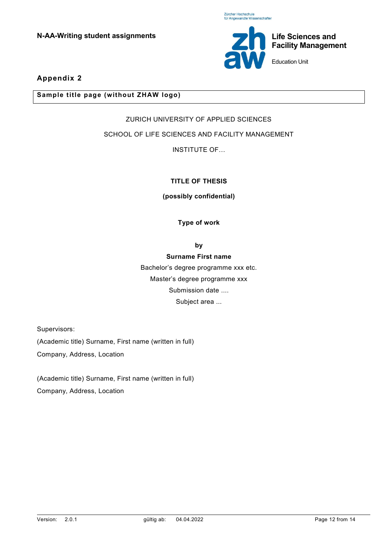

Education Unit

# **Appendix 2**

## **Sample title page (without ZHAW logo)**

# ZURICH UNIVERSITY OF APPLIED SCIENCES

# SCHOOL OF LIFE SCIENCES AND FACILITY MANAGEMENT

INSTITUTE OF…

# **TITLE OF THESIS**

### **(possibly confidential)**

**Type of work** 

**by**

# **Surname First name**

Bachelor's degree programme xxx etc. Master's degree programme xxx Submission date .... Subject area ...

Supervisors:

(Academic title) Surname, First name (written in full) Company, Address, Location

(Academic title) Surname, First name (written in full) Company, Address, Location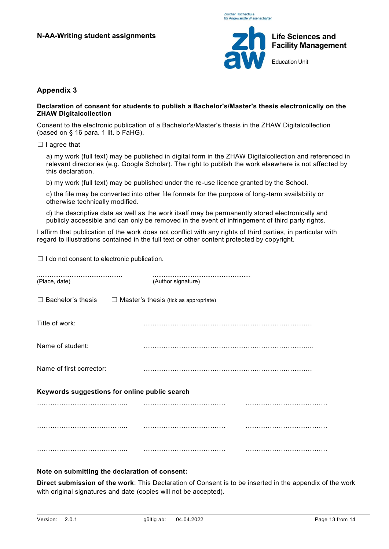

# **Appendix 3**

#### **Declaration of consent for students to publish a Bachelor's/Master's thesis electronically on the ZHAW Digitalcollection**

Consent to the electronic publication of a Bachelor's/Master's thesis in the ZHAW Digitalcollection (based on § 16 para. 1 lit. b FaHG).

□ I agree that

a) my work (full text) may be published in digital form in the ZHAW Digitalcollection and referenced in relevant directories (e.g. Google Scholar). The right to publish the work elsewhere is not affec ted by this declaration.

b) my work (full text) may be published under the re-use licence granted by the School.

c) the file may be converted into other file formats for the purpose of long-term availability or otherwise technically modified.

d) the descriptive data as well as the work itself may be permanently stored electronically and publicly accessible and can only be removed in the event of infringement of third party rights.

I affirm that publication of the work does not conflict with any rights of third parties, in particular with regard to illustrations contained in the full text or other content protected by copyright.

 $\Box$  I do not consent to electronic publication.

| (Place, date)                                 | (Author signature)                           |  |  |  |  |  |  |
|-----------------------------------------------|----------------------------------------------|--|--|--|--|--|--|
| $\Box$ Bachelor's thesis                      | $\Box$ Master's thesis (tick as appropriate) |  |  |  |  |  |  |
| Title of work:                                |                                              |  |  |  |  |  |  |
| Name of student:                              |                                              |  |  |  |  |  |  |
| Name of first corrector:                      |                                              |  |  |  |  |  |  |
| Keywords suggestions for online public search |                                              |  |  |  |  |  |  |
|                                               |                                              |  |  |  |  |  |  |
|                                               |                                              |  |  |  |  |  |  |
|                                               | .<br>.                                       |  |  |  |  |  |  |

### **Note on submitting the declaration of consent:**

**Direct submission of the work**: This Declaration of Consent is to be inserted in the appendix of the work with original signatures and date (copies will not be accepted).